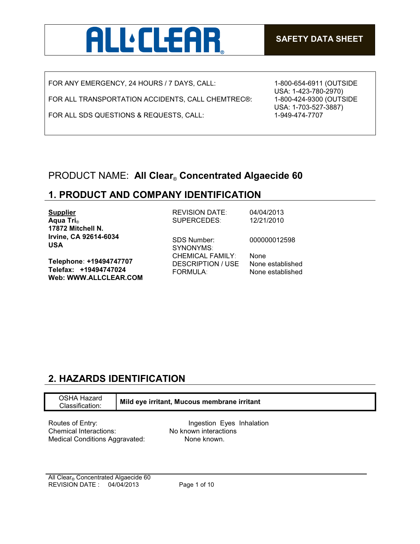

FOR ANY EMERGENCY, 24 HOURS / 7 DAYS, CALL:

FOR ALL TRANSPORTATION ACCIDENTS, CALL CHEMTREC®:

FOR ALL SDS QUESTIONS & REQUESTS, CALL:

1-800-654-6911 (OUTSIDE USA: 1-423-780-2970) 1-800-424-9300 (OUTSIDE USA: 1-703-527-3887) 1-949-474-7707

## PRODUCT NAME: **All Clear**® **Concentrated Algaecide 60**

## **1. PRODUCT AND COMPANY IDENTIFICATION**

| <b>Supplier</b>                                                           | <b>REVISION DATE:</b>                                           | 04/04/2013                                   |
|---------------------------------------------------------------------------|-----------------------------------------------------------------|----------------------------------------------|
| Aqua Tri <sub>®</sub>                                                     | SUPERCEDES:                                                     | 12/21/2010                                   |
| 17872 Mitchell N.                                                         |                                                                 |                                              |
| Irvine, CA 92614-6034<br><b>USA</b>                                       | <b>SDS Number:</b><br>SYNONYMS:                                 | 000000012598                                 |
| Telephone: +19494747707<br>Telefax: +19494747024<br>Web: WWW.ALLCLEAR.COM | <b>CHEMICAL FAMILY:</b><br>DESCRIPTION / USE<br><b>FORMULA:</b> | None<br>None established<br>None established |

# **2. HAZARDS IDENTIFICATION**

| OSHA Hazard<br>Classification:        | Mild eye irritant, Mucous membrane irritant |  |
|---------------------------------------|---------------------------------------------|--|
| Routes of Entry:                      | Ingestion Eyes Inhalation                   |  |
| Chemical Interactions:                | No known interactions                       |  |
| <b>Medical Conditions Aggravated:</b> | None known.                                 |  |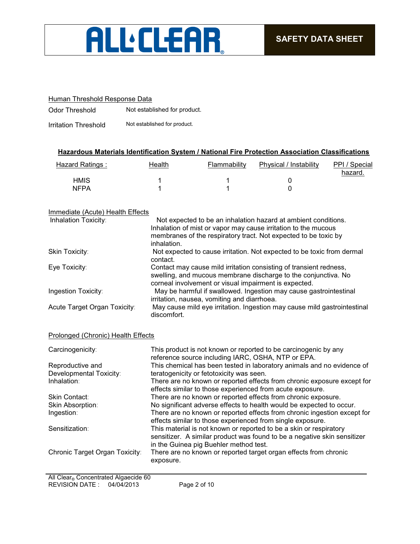

## Human Threshold Response Data

Odor Threshold Not established for product.

Irritation Threshold Not established for product.

## **Hazardous Materials Identification System / National Fire Protection Association Classifications**

| Hazard Ratings: | Health | Flammability | Physical / Instability | PPI / Special<br>hazard. |
|-----------------|--------|--------------|------------------------|--------------------------|
| HMIS            |        |              |                        |                          |
| <b>NFPA</b>     |        |              |                        |                          |

### Immediate (Acute) Health Effects

| Inhalation Toxicity:         | Not expected to be an inhalation hazard at ambient conditions.<br>Inhalation of mist or vapor may cause irritation to the mucous<br>membranes of the respiratory tract. Not expected to be toxic by<br>inhalation. |
|------------------------------|--------------------------------------------------------------------------------------------------------------------------------------------------------------------------------------------------------------------|
| Skin Toxicity:               | Not expected to cause irritation. Not expected to be toxic from dermal<br>contact.                                                                                                                                 |
| Eye Toxicity:                | Contact may cause mild irritation consisting of transient redness,<br>swelling, and mucous membrane discharge to the conjunctiva. No<br>corneal involvement or visual impairment is expected.                      |
| Ingestion Toxicity:          | May be harmful if swallowed. Ingestion may cause gastrointestinal<br>irritation, nausea, vomiting and diarrhoea.                                                                                                   |
| Acute Target Organ Toxicity: | May cause mild eye irritation. Ingestion may cause mild gastrointestinal<br>discomfort.                                                                                                                            |

### Prolonged (Chronic) Health Effects

| Carcinogenicity:               | This product is not known or reported to be carcinogenic by any<br>reference source including IARC, OSHA, NTP or EPA.                                                                    |
|--------------------------------|------------------------------------------------------------------------------------------------------------------------------------------------------------------------------------------|
| Reproductive and               | This chemical has been tested in laboratory animals and no evidence of                                                                                                                   |
| Developmental Toxicity:        | teratogenicity or fetotoxicity was seen.                                                                                                                                                 |
| Inhalation:                    | There are no known or reported effects from chronic exposure except for<br>effects similar to those experienced from acute exposure.                                                     |
| <b>Skin Contact:</b>           | There are no known or reported effects from chronic exposure.                                                                                                                            |
| Skin Absorption:               | No significant adverse effects to health would be expected to occur.                                                                                                                     |
| Ingestion:                     | There are no known or reported effects from chronic ingestion except for<br>effects similar to those experienced from single exposure.                                                   |
| Sensitization:                 | This material is not known or reported to be a skin or respiratory<br>sensitizer. A similar product was found to be a negative skin sensitizer<br>in the Guinea pig Buehler method test. |
| Chronic Target Organ Toxicity: | There are no known or reported target organ effects from chronic<br>exposure.                                                                                                            |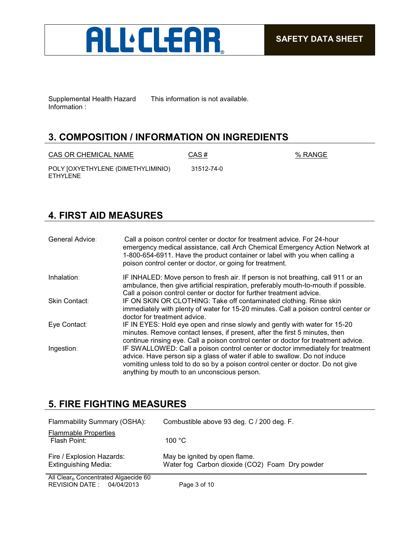

Supplemental Health Hazard Information :

This information is not available.

## **3. COMPOSITION / INFORMATION ON INGREDIENTS**

 $CAS OR CHEMICAL NAME$   $CAS #$   $% RANGE$ 

POLY [OXYETHYLENE (DIMETHYLIMINIO) ETHYLENE

31512-74-0

# **4. FIRST AID MEASURES**

| General Advice: | Call a poison control center or doctor for treatment advice. For 24-hour<br>emergency medical assistance, call Arch Chemical Emergency Action Network at<br>1-800-654-6911. Have the product container or label with you when calling a<br>poison control center or doctor, or going for treatment. |
|-----------------|-----------------------------------------------------------------------------------------------------------------------------------------------------------------------------------------------------------------------------------------------------------------------------------------------------|
| Inhalation:     | IF INHALED: Move person to fresh air. If person is not breathing, call 911 or an<br>ambulance, then give artificial respiration, preferably mouth-to-mouth if possible.<br>Call a poison control center or doctor for further treatment advice.                                                     |
| Skin Contact:   | IF ON SKIN OR CLOTHING: Take off contaminated clothing. Rinse skin<br>immediately with plenty of water for 15-20 minutes. Call a poison control center or<br>doctor for treatment advice.                                                                                                           |
| Eye Contact:    | IF IN EYES: Hold eye open and rinse slowly and gently with water for 15-20<br>minutes. Remove contact lenses, if present, after the first 5 minutes, then<br>continue rinsing eye. Call a poison control center or doctor for treatment advice.                                                     |
| Ingestion:      | IF SWALLOWED: Call a poison control center or doctor immediately for treatment<br>advice. Have person sip a glass of water if able to swallow. Do not induce<br>vomiting unless told to do so by a poison control center or doctor. Do not give<br>anything by mouth to an unconscious person.      |

## **5. FIRE FIGHTING MEASURES**

| Flammability Summary (OSHA):                             | Combustible above 93 deg. C / 200 deg. F.                                       |
|----------------------------------------------------------|---------------------------------------------------------------------------------|
| <b>Flammable Properties</b><br>Flash Point:              | 100 $^{\circ}$ C                                                                |
| Fire / Explosion Hazards:<br><b>Extinguishing Media:</b> | May be ignited by open flame.<br>Water fog Carbon dioxide (CO2) Foam Dry powder |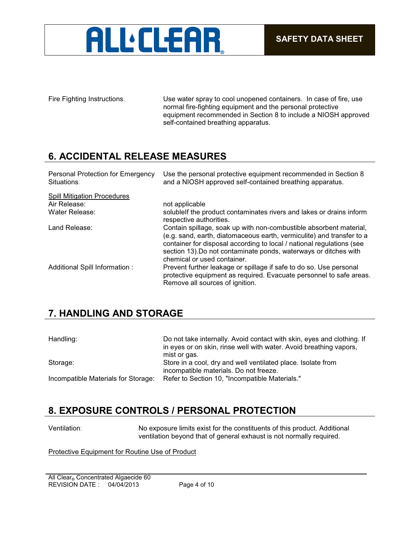

Fire Fighting Instructions: Use water spray to cool unopened containers. In case of fire, use normal fire-fighting equipment and the personal protective equipment recommended in Section 8 to include a NIOSH approved self-contained breathing apparatus.

## **6. ACCIDENTAL RELEASE MEASURES**

| Personal Protection for Emergency<br>Situations: | Use the personal protective equipment recommended in Section 8<br>and a NIOSH approved self-contained breathing apparatus.                                                                                                                                                                                              |
|--------------------------------------------------|-------------------------------------------------------------------------------------------------------------------------------------------------------------------------------------------------------------------------------------------------------------------------------------------------------------------------|
| <b>Spill Mitigation Procedures</b>               |                                                                                                                                                                                                                                                                                                                         |
| Air Release:                                     | not applicable                                                                                                                                                                                                                                                                                                          |
| Water Release:                                   | solublelf the product contaminates rivers and lakes or drains inform<br>respective authorities.                                                                                                                                                                                                                         |
| Land Release:                                    | Contain spillage, soak up with non-combustible absorbent material,<br>(e.g. sand, earth, diatomaceous earth, vermiculite) and transfer to a<br>container for disposal according to local / national regulations (see<br>section 13). Do not contaminate ponds, waterways or ditches with<br>chemical or used container. |
| Additional Spill Information :                   | Prevent further leakage or spillage if safe to do so. Use personal<br>protective equipment as required. Evacuate personnel to safe areas.<br>Remove all sources of ignition.                                                                                                                                            |

## **7. HANDLING AND STORAGE**

| Handling:                           | Do not take internally. Avoid contact with skin, eyes and clothing. If<br>in eyes or on skin, rinse well with water. Avoid breathing vapors,<br>mist or gas. |
|-------------------------------------|--------------------------------------------------------------------------------------------------------------------------------------------------------------|
| Storage:                            | Store in a cool, dry and well ventilated place. Isolate from<br>incompatible materials. Do not freeze.                                                       |
| Incompatible Materials for Storage: | Refer to Section 10, "Incompatible Materials."                                                                                                               |

## **8. EXPOSURE CONTROLS / PERSONAL PROTECTION**

Ventilation: No exposure limits exist for the constituents of this product. Additional ventilation beyond that of general exhaust is not normally required.

Protective Equipment for Routine Use of Product

REVISION DATE : 04/04/2013 Page 4 of 10 All Clear<sub>®</sub> Concentrated Algaecide 60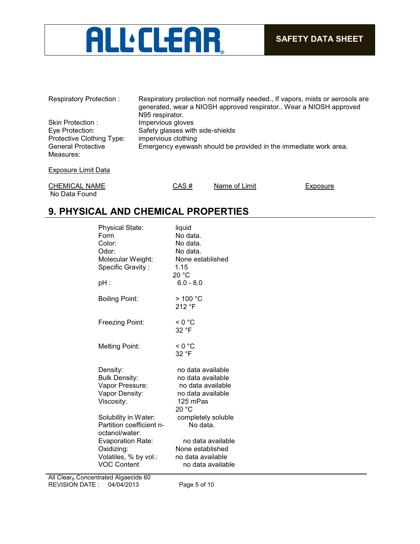# ALL'CLEAR

| <b>Respiratory Protection:</b>         | Respiratory protection not normally needed., If vapors, mists or aerosols are<br>generated, wear a NIOSH approved respirator., Wear a NIOSH approved<br>N95 respirator. |
|----------------------------------------|-------------------------------------------------------------------------------------------------------------------------------------------------------------------------|
| Skin Protection:                       | Impervious gloves                                                                                                                                                       |
| Eye Protection:                        | Safety glasses with side-shields                                                                                                                                        |
| Protective Clothing Type:              | impervious clothing                                                                                                                                                     |
| <b>General Protective</b><br>Measures: | Emergency eyewash should be provided in the immediate work area.                                                                                                        |
| Exposure Limit Data                    |                                                                                                                                                                         |
|                                        |                                                                                                                                                                         |

| <b>CHEMICAL NAME</b> | CAS # | Name of Limit | Exposure |
|----------------------|-------|---------------|----------|
| No Data Found        |       |               |          |

# **9. PHYSICAL AND CHEMICAL PROPERTIES**

| <b>Physical State:</b><br>Form<br>Color:<br>Odor:<br>Molecular Weight:<br>Specific Gravity:<br>pH : | liquid<br>No data.<br>No data.<br>No data.<br>None established<br>1.15<br>20 °C<br>$6.0 - 8.0$        |
|-----------------------------------------------------------------------------------------------------|-------------------------------------------------------------------------------------------------------|
| <b>Boiling Point:</b>                                                                               | $>$ 100 °C<br>212 °F                                                                                  |
| Freezing Point:                                                                                     | < 0 °C<br>32 °F                                                                                       |
| Melting Point:                                                                                      | < 0 °C<br>32 °F                                                                                       |
| Density:<br><b>Bulk Density:</b><br>Vapor Pressure:<br>Vapor Density:<br>Viscosity:                 | no data available<br>no data available<br>no data available<br>no data available<br>125 mPas<br>20 °C |
| Solubility in Water:<br>Partition coefficient n-<br>octanol/water:                                  | completely soluble<br>No data.                                                                        |
| <b>Evaporation Rate:</b><br>Oxidizing:<br>Volatiles, % by vol.:<br><b>VOC Content</b>               | no data available<br>None established<br>no data available<br>no data available                       |

REVISION DATE : 04/04/2013 Page 5 of 10 All Clear<sub>®</sub> Concentrated Algaecide 60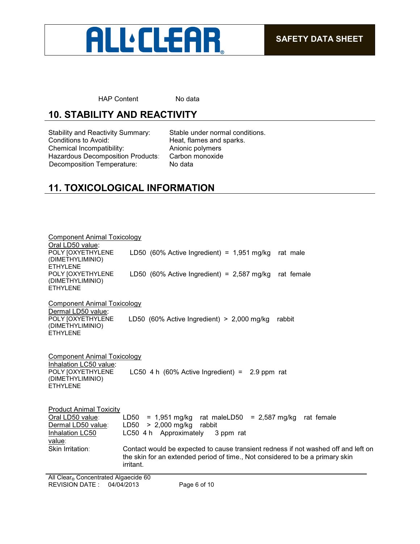

HAP Content No data

# **10. STABILITY AND REACTIVITY**

Stability and Reactivity Summary: Stable under normal conditions.<br>Conditions to Avoid: Fleat, flames and sparks. Chemical Incompatibility: Anionic polymers Hazardous Decomposition Products: Carbon in Decomposition Temperature: No data Decomposition Temperature:

Heat, flames and sparks.<br>Anionic polymers

# **11. TOXICOLOGICAL INFORMATION**

| Component Animal Toxicology                                                                                       |                                                                                                                                                                                  |
|-------------------------------------------------------------------------------------------------------------------|----------------------------------------------------------------------------------------------------------------------------------------------------------------------------------|
| Oral LD50 value:<br>POLY JOXYETHYLENE<br>(DIMETHYLIMINIO)<br><b>ETHYLENE</b>                                      | LD50 (60% Active Ingredient) = $1,951$ mg/kg<br>rat male                                                                                                                         |
| POLY JOXYETHYLENE<br>(DIMETHYLIMINIO)<br><b>ETHYLENE</b>                                                          | LD50 (60% Active Ingredient) = $2,587$ mg/kg rat female                                                                                                                          |
| Component Animal Toxicology                                                                                       |                                                                                                                                                                                  |
| Dermal LD50 value:<br>POLY JOXYETHYLENE<br>(DIMETHYLIMINIO)<br><b>ETHYLENE</b>                                    | LD50 (60% Active Ingredient) $> 2,000$ mg/kg<br>rabbit                                                                                                                           |
| Component Animal Toxicology<br>Inhalation LC50 value:<br>POLY JOXYETHYLENE<br>(DIMETHYLIMINIO)<br><b>ETHYLENE</b> | LC50 4 h $(60\%$ Active Ingredient) = 2.9 ppm rat                                                                                                                                |
| <b>Product Animal Toxicity</b><br>Oral LD50 value:<br>Dermal LD50 value:<br>Inhalation LC50<br>value:             | $= 1.951$ mg/kg rat maleLD50 $= 2.587$ mg/kg rat female<br>LD50<br>> 2,000 mg/kg<br>LD50<br>rabbit<br>LC50 4 h Approximately<br>3 ppm rat                                        |
| Skin Irritation:                                                                                                  | Contact would be expected to cause transient redness if not washed off and left on<br>the skin for an extended period of time., Not considered to be a primary skin<br>irritant. |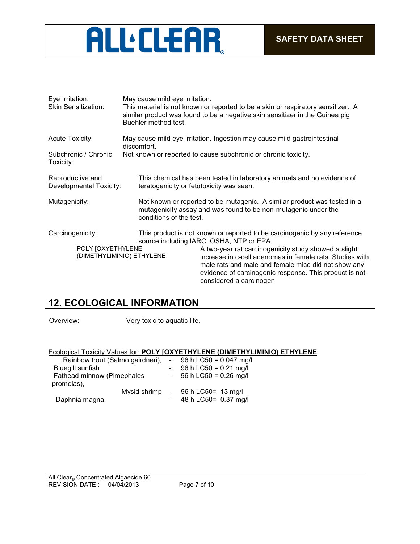

| Eye Irritation:<br><b>Skin Sensitization:</b> | May cause mild eye irritation.<br>Buehler method test. | This material is not known or reported to be a skin or respiratory sensitizer., A<br>similar product was found to be a negative skin sensitizer in the Guinea pig                                                                                                                                                                                                                     |
|-----------------------------------------------|--------------------------------------------------------|---------------------------------------------------------------------------------------------------------------------------------------------------------------------------------------------------------------------------------------------------------------------------------------------------------------------------------------------------------------------------------------|
| Acute Toxicity:                               | discomfort.                                            | May cause mild eye irritation. Ingestion may cause mild gastrointestinal                                                                                                                                                                                                                                                                                                              |
| Subchronic / Chronic<br>Toxicity:             |                                                        | Not known or reported to cause subchronic or chronic toxicity.                                                                                                                                                                                                                                                                                                                        |
| Reproductive and<br>Developmental Toxicity:   | teratogenicity or fetotoxicity was seen.               | This chemical has been tested in laboratory animals and no evidence of                                                                                                                                                                                                                                                                                                                |
| Mutagenicity:                                 | conditions of the test.                                | Not known or reported to be mutagenic. A similar product was tested in a<br>mutagenicity assay and was found to be non-mutagenic under the                                                                                                                                                                                                                                            |
| Carcinogenicity:<br>POLY JOXYETHYLENE         | (DIMETHYLIMINIO) ETHYLENE                              | This product is not known or reported to be carcinogenic by any reference<br>source including IARC, OSHA, NTP or EPA.<br>A two-year rat carcinogenicity study showed a slight<br>increase in c-cell adenomas in female rats. Studies with<br>male rats and male and female mice did not show any<br>evidence of carcinogenic response. This product is not<br>considered a carcinogen |

# **12. ECOLOGICAL INFORMATION**

Overview: Very toxic to aquatic life.

## Ecological Toxicity Values for: **POLY [OXYETHYLENE (DIMETHYLIMINIO) ETHYLENE**

| Rainbow trout (Salmo gairdneri), |  |        | $-$ 96 h LC50 = 0.047 mg/l        |
|----------------------------------|--|--------|-----------------------------------|
| <b>Bluegill sunfish</b>          |  |        | 96 h LC50 = $0.21$ mg/l           |
| Fathead minnow (Pimephales       |  |        | $-96 h$ LC50 = 0.26 mg/l          |
| promelas),                       |  |        |                                   |
|                                  |  |        | Mysid shrimp - 96 h LC50= 13 mg/l |
| Daphnia magna,                   |  | $\sim$ | 48 h LC50= 0.37 mg/l              |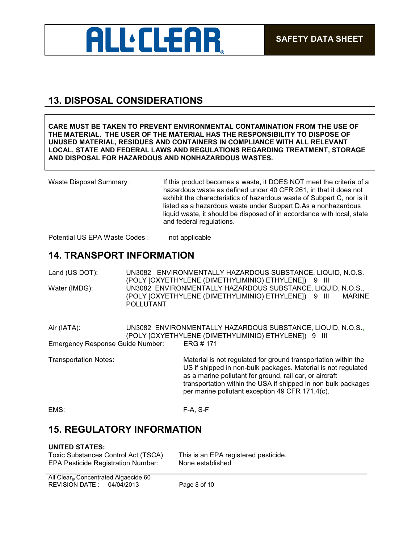

## **13. DISPOSAL CONSIDERATIONS**

**CARE MUST BE TAKEN TO PREVENT ENVIRONMENTAL CONTAMINATION FROM THE USE OF THE MATERIAL. THE USER OF THE MATERIAL HAS THE RESPONSIBILITY TO DISPOSE OF UNUSED MATERIAL, RESIDUES AND CONTAINERS IN COMPLIANCE WITH ALL RELEVANT LOCAL, STATE AND FEDERAL LAWS AND REGULATIONS REGARDING TREATMENT, STORAGE AND DISPOSAL FOR HAZARDOUS AND NONHAZARDOUS WASTES.** 

Waste Disposal Summary: If this product becomes a waste, it DOES NOT meet the criteria of a hazardous waste as defined under 40 CFR 261, in that it does not exhibit the characteristics of hazardous waste of Subpart C, nor is it listed as a hazardous waste under Subpart D.As a nonhazardous liquid waste, it should be disposed of in accordance with local, state and federal regulations.

Potential US EPA Waste Codes : not applicable

## **14. TRANSPORT INFORMATION**

Land (US DOT): UN3082 ENVIRONMENTALLY HAZARDOUS SUBSTANCE, LIQUID, N.O.S. (POLY [OXYETHYLENE (DIMETHYLIMINIO) ETHYLENE]) 9 III Water (IMDG): UN3082 ENVIRONMENTALLY HAZARDOUS SUBSTANCE, LIQUID, N.O.S., (POLY [OXYETHYLENE (DIMETHYLIMINIO) ETHYLENE]) 9 III MARINE POLLUTANT

| Air (IATA):                      | UN3082 ENVIRONMENTALLY HAZARDOUS SUBSTANCE. LIQUID. N.O.S |  |
|----------------------------------|-----------------------------------------------------------|--|
|                                  | (POLY [OXYETHYLENE (DIMETHYLIMINIO) ETHYLENE]) 9 III      |  |
| Emergency Response Guide Number: | ERG # 171                                                 |  |

Transportation Notes**:** Material is not regulated for ground transportation within the US if shipped in non-bulk packages. Material is not regulated as a marine pollutant for ground, rail car, or aircraft transportation within the USA if shipped in non bulk packages per marine pollutant exception 49 CFR 171.4(c).

EMS: F-A, S-F

## **15. REGULATORY INFORMATION**

#### **UNITED STATES:**

Toxic Substances Control Act (TSCA): This is an EPA registered pesticide. EPA Pesticide Registration Number: None established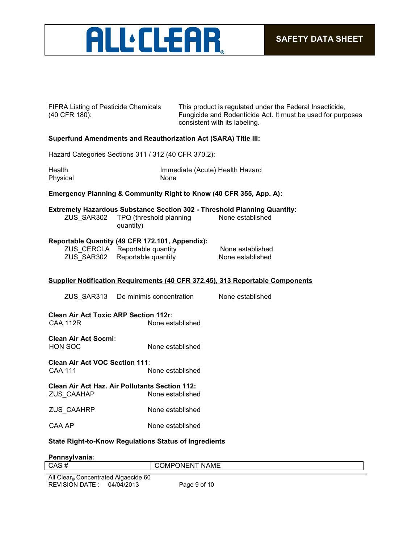

| <b>FIFRA Listing of Pesticide Chemicals</b> |  |
|---------------------------------------------|--|
| (40 CFR 180):                               |  |

This product is regulated under the Federal Insecticide, Fungicide and Rodenticide Act. It must be used for purposes consistent with its labeling.

### **Superfund Amendments and Reauthorization Act (SARA) Title III:**

Hazard Categories Sections 311 / 312 (40 CFR 370.2):

| Health   | Immediate (Acute) Health Hazard |
|----------|---------------------------------|
| Physical | None                            |

#### **Emergency Planning & Community Right to Know (40 CFR 355, App. A):**

**Extremely Hazardous Substance Section 302 - Threshold Planning Quantity:**

ZUS\_SAR302 TPQ (threshold planning None established quantity)

#### **Reportable Quantity (49 CFR 172.101, Appendix):**

| ZUS_CERCLA Reportable quantity | None established |
|--------------------------------|------------------|
| ZUS_SAR302 Reportable quantity | None established |

#### **Supplier Notification Requirements (40 CFR 372.45), 313 Reportable Components**

| ZUS SAR313 | De minimis concentration | None established |
|------------|--------------------------|------------------|
|            |                          |                  |

#### **Clean Air Act Toxic ARP Section 112r:** CAA 112R None established

**Clean Air Act Socmi:** HON SOC None established

**Clean Air Act VOC Section 111:** None established

### **Clean Air Act Haz. Air Pollutants Section 112:** ZUS\_CAAHAP None established

ZUS\_CAAHRP None established

CAA AP None established

#### **State Right-to-Know Regulations Status of Ingredients**

#### **Pennsylvania:**

| CAS#                                    | <b>NAME</b><br>$\overline{\phantom{a}}$<br>)MP<br>)N⊢N ∶ |
|-----------------------------------------|----------------------------------------------------------|
|                                         |                                                          |
| All Clear®<br>Concentrated Algaecide 60 |                                                          |